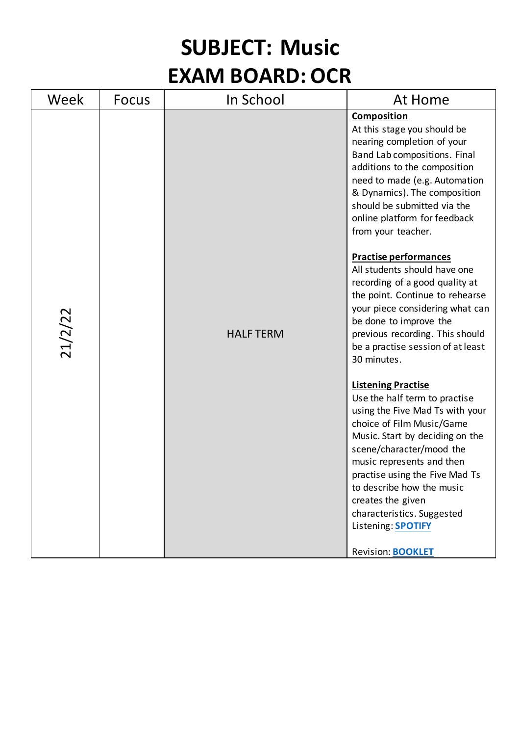## **SUBJECT: Music EXAM BOARD: OCR**

| Week    | <b>Focus</b> | In School        | At Home                                                                                                                                                                                                                                                                                                                                                                                                                                                                                                                                                                                                                                                                                                                                                                                                                                                                                                                                                          |
|---------|--------------|------------------|------------------------------------------------------------------------------------------------------------------------------------------------------------------------------------------------------------------------------------------------------------------------------------------------------------------------------------------------------------------------------------------------------------------------------------------------------------------------------------------------------------------------------------------------------------------------------------------------------------------------------------------------------------------------------------------------------------------------------------------------------------------------------------------------------------------------------------------------------------------------------------------------------------------------------------------------------------------|
| 21/2/22 |              | <b>HALF TERM</b> | Composition<br>At this stage you should be<br>nearing completion of your<br>Band Lab compositions. Final<br>additions to the composition<br>need to made (e.g. Automation<br>& Dynamics). The composition<br>should be submitted via the<br>online platform for feedback<br>from your teacher.<br><b>Practise performances</b><br>All students should have one<br>recording of a good quality at<br>the point. Continue to rehearse<br>your piece considering what can<br>be done to improve the<br>previous recording. This should<br>be a practise session of at least<br>30 minutes.<br><b>Listening Practise</b><br>Use the half term to practise<br>using the Five Mad Ts with your<br>choice of Film Music/Game<br>Music. Start by deciding on the<br>scene/character/mood the<br>music represents and then<br>practise using the Five Mad Ts<br>to describe how the music<br>creates the given<br>characteristics. Suggested<br>Listening: <b>SPOTIFY</b> |
|         |              |                  | <b>Revision: BOOKLET</b>                                                                                                                                                                                                                                                                                                                                                                                                                                                                                                                                                                                                                                                                                                                                                                                                                                                                                                                                         |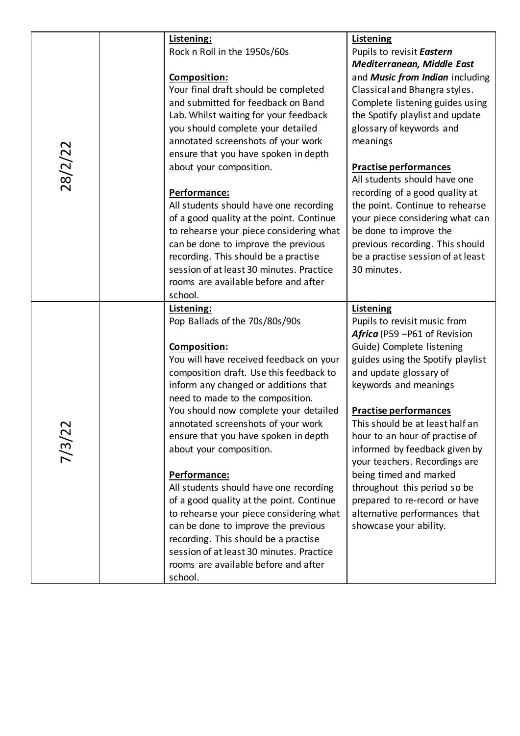| 28/2/22 | Listening:<br>Rock n Roll in the 1950s/60s<br>Composition:<br>Your final draft should be completed<br>and submitted for feedback on Band<br>Lab. Whilst waiting for your feedback<br>you should complete your detailed<br>annotated screenshots of your work<br>ensure that you have spoken in depth                                                                                                                                                                                                                                                                                                                                                                                                                          | Listening<br>Pupils to revisit Eastern<br>Mediterranean, Middle East<br>and Music from Indian including<br>Classical and Bhangra styles.<br>Complete listening guides using<br>the Spotify playlist and update<br>glossary of keywords and<br>meanings                                                                                                                                                                                                                                                                       |
|---------|-------------------------------------------------------------------------------------------------------------------------------------------------------------------------------------------------------------------------------------------------------------------------------------------------------------------------------------------------------------------------------------------------------------------------------------------------------------------------------------------------------------------------------------------------------------------------------------------------------------------------------------------------------------------------------------------------------------------------------|------------------------------------------------------------------------------------------------------------------------------------------------------------------------------------------------------------------------------------------------------------------------------------------------------------------------------------------------------------------------------------------------------------------------------------------------------------------------------------------------------------------------------|
|         | about your composition.<br>Performance:<br>All students should have one recording<br>of a good quality at the point. Continue<br>to rehearse your piece considering what<br>can be done to improve the previous<br>recording. This should be a practise<br>session of at least 30 minutes. Practice<br>rooms are available before and after<br>school.                                                                                                                                                                                                                                                                                                                                                                        | <b>Practise performances</b><br>All students should have one<br>recording of a good quality at<br>the point. Continue to rehearse<br>your piece considering what can<br>be done to improve the<br>previous recording. This should<br>be a practise session of at least<br>30 minutes.                                                                                                                                                                                                                                        |
| 7/3/22  | Listening:<br>Pop Ballads of the 70s/80s/90s<br><b>Composition:</b><br>You will have received feedback on your<br>composition draft. Use this feedback to<br>inform any changed or additions that<br>need to made to the composition.<br>You should now complete your detailed<br>annotated screenshots of your work<br>ensure that you have spoken in depth<br>about your composition.<br><b>Performance:</b><br>All students should have one recording<br>of a good quality at the point. Continue<br>to rehearse your piece considering what<br>can be done to improve the previous<br>recording. This should be a practise<br>session of at least 30 minutes. Practice<br>rooms are available before and after<br>school. | Listening<br>Pupils to revisit music from<br>Africa (P59 - P61 of Revision<br>Guide) Complete listening<br>guides using the Spotify playlist<br>and update glossary of<br>keywords and meanings<br><b>Practise performances</b><br>This should be at least half an<br>hour to an hour of practise of<br>informed by feedback given by<br>your teachers. Recordings are<br>being timed and marked<br>throughout this period so be<br>prepared to re-record or have<br>alternative performances that<br>showcase your ability. |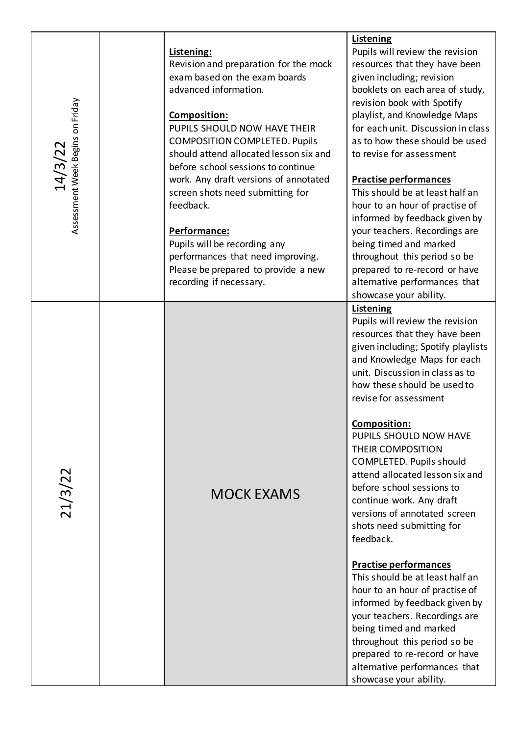| Assessment Week Begins on Friday<br>14/3/22 | Listening:<br>Revision and preparation for the mock<br>exam based on the exam boards<br>advanced information.<br><b>Composition:</b><br>PUPILS SHOULD NOW HAVE THEIR<br><b>COMPOSITION COMPLETED. Pupils</b><br>should attend allocated lesson six and<br>before school sessions to continue<br>work. Any draft versions of annotated<br>screen shots need submitting for<br>feedback.<br>Performance:<br>Pupils will be recording any<br>performances that need improving.<br>Please be prepared to provide a new<br>recording if necessary. | Listening<br>Pupils will review the revision<br>resources that they have been<br>given including; revision<br>booklets on each area of study,<br>revision book with Spotify<br>playlist, and Knowledge Maps<br>for each unit. Discussion in class<br>as to how these should be used<br>to revise for assessment<br><b>Practise performances</b><br>This should be at least half an<br>hour to an hour of practise of<br>informed by feedback given by<br>your teachers. Recordings are<br>being timed and marked<br>throughout this period so be<br>prepared to re-record or have<br>alternative performances that<br>showcase your ability.                                                                                                                                                                                                       |
|---------------------------------------------|-----------------------------------------------------------------------------------------------------------------------------------------------------------------------------------------------------------------------------------------------------------------------------------------------------------------------------------------------------------------------------------------------------------------------------------------------------------------------------------------------------------------------------------------------|----------------------------------------------------------------------------------------------------------------------------------------------------------------------------------------------------------------------------------------------------------------------------------------------------------------------------------------------------------------------------------------------------------------------------------------------------------------------------------------------------------------------------------------------------------------------------------------------------------------------------------------------------------------------------------------------------------------------------------------------------------------------------------------------------------------------------------------------------|
| 21/3/22                                     | <b>MOCK EXAMS</b>                                                                                                                                                                                                                                                                                                                                                                                                                                                                                                                             | <b>Listening</b><br>Pupils will review the revision<br>resources that they have been<br>given including; Spotify playlists<br>and Knowledge Maps for each<br>unit. Discussion in class as to<br>how these should be used to<br>revise for assessment<br>Composition:<br>PUPILS SHOULD NOW HAVE<br><b>THEIR COMPOSITION</b><br>COMPLETED. Pupils should<br>attend allocated lesson six and<br>before school sessions to<br>continue work. Any draft<br>versions of annotated screen<br>shots need submitting for<br>feedback.<br>Practise performances<br>This should be at least half an<br>hour to an hour of practise of<br>informed by feedback given by<br>your teachers. Recordings are<br>being timed and marked<br>throughout this period so be<br>prepared to re-record or have<br>alternative performances that<br>showcase your ability. |